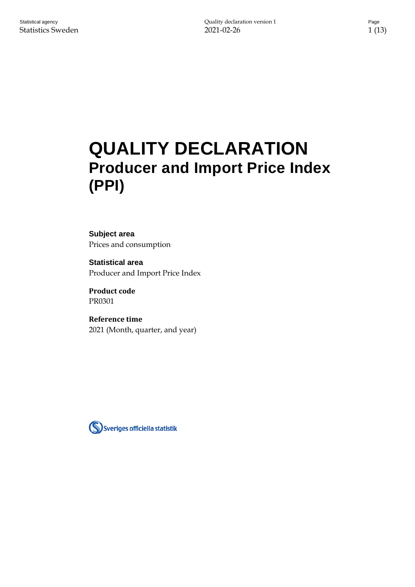# **QUALITY DECLARATION Producer and Import Price Index (PPI)**

**Subject area** Prices and consumption

**Statistical area** Producer and Import Price Index

**Product code** PR0301

**Reference time** 2021 (Month, quarter, and year)

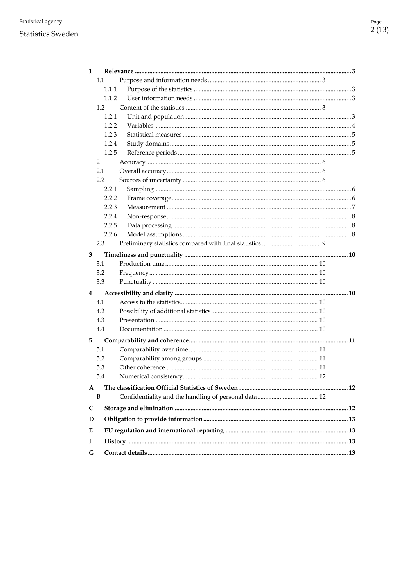#### **Statistics Sweden**

| 1                       |       |  |  |  |  |  |
|-------------------------|-------|--|--|--|--|--|
|                         | 1.1   |  |  |  |  |  |
|                         | 1.1.1 |  |  |  |  |  |
|                         | 1.1.2 |  |  |  |  |  |
|                         | 1.2   |  |  |  |  |  |
|                         | 1.2.1 |  |  |  |  |  |
|                         | 1.2.2 |  |  |  |  |  |
|                         | 1.2.3 |  |  |  |  |  |
|                         | 1.2.4 |  |  |  |  |  |
|                         | 1.2.5 |  |  |  |  |  |
|                         | 2     |  |  |  |  |  |
|                         | 2.1   |  |  |  |  |  |
|                         | 2.2   |  |  |  |  |  |
|                         | 2.2.1 |  |  |  |  |  |
|                         | 2.2.2 |  |  |  |  |  |
|                         | 2.2.3 |  |  |  |  |  |
|                         | 2.2.4 |  |  |  |  |  |
|                         | 2.2.5 |  |  |  |  |  |
|                         | 2.2.6 |  |  |  |  |  |
|                         | 2.3   |  |  |  |  |  |
| 3                       |       |  |  |  |  |  |
|                         | 3.1   |  |  |  |  |  |
|                         | 3.2   |  |  |  |  |  |
|                         | 3.3   |  |  |  |  |  |
| $\overline{\mathbf{4}}$ |       |  |  |  |  |  |
|                         | 4.1   |  |  |  |  |  |
|                         | 4.2   |  |  |  |  |  |
|                         | 4.3   |  |  |  |  |  |
|                         | 4.4   |  |  |  |  |  |
|                         |       |  |  |  |  |  |
| 5                       | 5.1   |  |  |  |  |  |
|                         |       |  |  |  |  |  |
|                         | 5.2   |  |  |  |  |  |
|                         | 5.3   |  |  |  |  |  |
|                         | 5.4   |  |  |  |  |  |
| A                       |       |  |  |  |  |  |
|                         | B     |  |  |  |  |  |
| C                       |       |  |  |  |  |  |
| D                       |       |  |  |  |  |  |
| E                       |       |  |  |  |  |  |
| F                       |       |  |  |  |  |  |
| G                       |       |  |  |  |  |  |
|                         |       |  |  |  |  |  |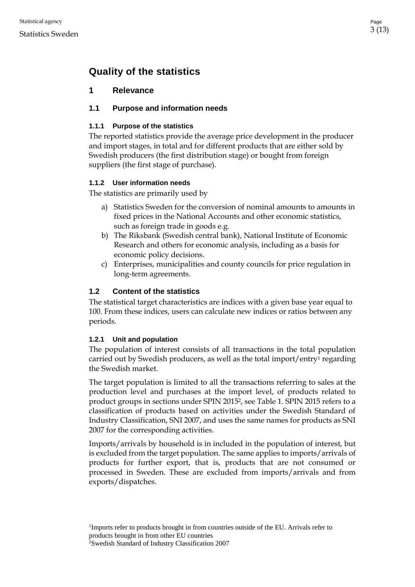# **Quality of the statistics**

## <span id="page-2-0"></span>**1 Relevance**

### <span id="page-2-1"></span>**1.1 Purpose and information needs**

#### <span id="page-2-2"></span>**1.1.1 Purpose of the statistics**

The reported statistics provide the average price development in the producer and import stages, in total and for different products that are either sold by Swedish producers (the first distribution stage) or bought from foreign suppliers (the first stage of purchase).

#### <span id="page-2-3"></span>**1.1.2 User information needs**

The statistics are primarily used by

- a) Statistics Sweden for the conversion of nominal amounts to amounts in fixed prices in the National Accounts and other economic statistics, such as foreign trade in goods e.g.
- b) The Riksbank (Swedish central bank), National Institute of Economic Research and others for economic analysis, including as a basis for economic policy decisions.
- c) Enterprises, municipalities and county councils for price regulation in long-term agreements.

### <span id="page-2-4"></span>**1.2 Content of the statistics**

The statistical target characteristics are indices with a given base year equal to 100. From these indices, users can calculate new indices or ratios between any periods.

#### <span id="page-2-5"></span>**1.2.1 Unit and population**

The population of interest consists of all transactions in the total population carried out by Swedish producers, as well as the total import/entry<sup>1</sup> regarding the Swedish market.

The target population is limited to all the transactions referring to sales at the production level and purchases at the import level, of products related to product groups in sections under SPIN 2015<sup>2</sup>, see Table 1. SPIN 2015 refers to a classification of products based on activities under the Swedish Standard of Industry Classification, SNI 2007, and uses the same names for products as SNI 2007 for the corresponding activities.

Imports/arrivals by household is in included in the population of interest, but is excluded from the target population. The same applies to imports/arrivals of products for further export, that is, products that are not consumed or processed in Sweden. These are excluded from imports/arrivals and from exports/dispatches.

<sup>1</sup>Imports refer to products brought in from countries outside of the EU. Arrivals refer to products brought in from other EU countries

<sup>2</sup>Swedish Standard of Industry Classification 2007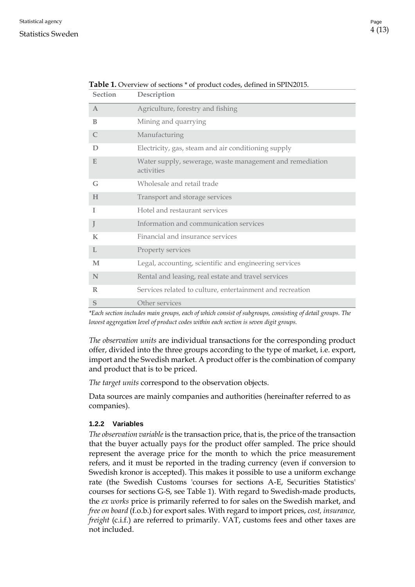#### Statistics Sweden

| <b>Section</b> | Description                                                            |  |  |
|----------------|------------------------------------------------------------------------|--|--|
| $\mathbf{A}$   | Agriculture, forestry and fishing                                      |  |  |
| B              | Mining and quarrying                                                   |  |  |
| C              | Manufacturing                                                          |  |  |
| D              | Electricity, gas, steam and air conditioning supply                    |  |  |
| E              | Water supply, sewerage, waste management and remediation<br>activities |  |  |
| G              | Wholesale and retail trade                                             |  |  |
| H              | Transport and storage services                                         |  |  |
| T              | Hotel and restaurant services                                          |  |  |
| J              | Information and communication services                                 |  |  |
| $\bf K$        | Financial and insurance services                                       |  |  |
| $\mathbf{I}$ . | Property services                                                      |  |  |
| M              | Legal, accounting, scientific and engineering services                 |  |  |
| N              | Rental and leasing, real estate and travel services                    |  |  |
| R              | Services related to culture, entertainment and recreation              |  |  |
| S              | Other services                                                         |  |  |

**Table 1.** Overview of sections \* of product codes, defined in SPIN2015.

*\*Each section includes main groups, each of which consist of subgroups, consisting of detail groups. The lowest aggregation level of product codes within each section is seven digit groups.*

*The observation units* are individual transactions for the corresponding product offer, divided into the three groups according to the type of market, i.e. export, import and the Swedish market. A product offer is the combination of company and product that is to be priced.

*The target units* correspond to the observation objects.

Data sources are mainly companies and authorities (hereinafter referred to as companies).

#### <span id="page-3-0"></span>**1.2.2 Variables**

*The observation variable* is the transaction price, that is, the price of the transaction that the buyer actually pays for the product offer sampled. The price should represent the average price for the month to which the price measurement refers, and it must be reported in the trading currency (even if conversion to Swedish kronor is accepted). This makes it possible to use a uniform exchange rate (the Swedish Customs 'courses for sections A-E, Securities Statistics' courses for sections G-S, see Table 1). With regard to Swedish-made products, the *ex works* price is primarily referred to for sales on the Swedish market, and *free on board* (f.o.b.) for export sales. With regard to import prices, *cost, insurance, freight* (c.i.f.) are referred to primarily. VAT, customs fees and other taxes are not included.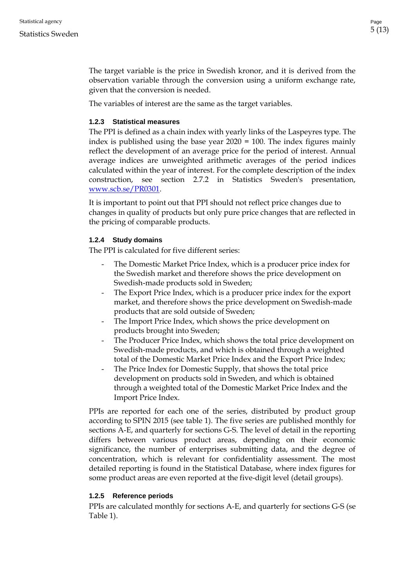The target variable is the price in Swedish kronor, and it is derived from the observation variable through the conversion using a uniform exchange rate, given that the conversion is needed.

The variables of interest are the same as the target variables.

#### <span id="page-4-0"></span>**1.2.3 Statistical measures**

The PPI is defined as a chain index with yearly links of the Laspeyres type. The index is published using the base year 2020 = 100. The index figures mainly reflect the development of an average price for the period of interest. Annual average indices are unweighted arithmetic averages of the period indices calculated within the year of interest. For the complete description of the index construction, see section 2.7.2 in Statistics Sweden's presentation, [www.scb.se/PR0301.](file:///C:/Users/scbgsod/AppData/Local/Microsoft/Windows/INetCache/Content.Outlook/7NLP7JLD/www.scb.se/PR0301)

It is important to point out that PPI should not reflect price changes due to changes in quality of products but only pure price changes that are reflected in the pricing of comparable products.

#### <span id="page-4-1"></span>**1.2.4 Study domains**

The PPI is calculated for five different series:

- The Domestic Market Price Index, which is a producer price index for the Swedish market and therefore shows the price development on Swedish-made products sold in Sweden;
- The Export Price Index, which is a producer price index for the export market, and therefore shows the price development on Swedish-made products that are sold outside of Sweden;
- The Import Price Index, which shows the price development on products brought into Sweden;
- The Producer Price Index, which shows the total price development on Swedish-made products, and which is obtained through a weighted total of the Domestic Market Price Index and the Export Price Index;
- The Price Index for Domestic Supply, that shows the total price development on products sold in Sweden, and which is obtained through a weighted total of the Domestic Market Price Index and the Import Price Index.

PPIs are reported for each one of the series, distributed by product group according to SPIN 2015 (see table 1). The five series are published monthly for sections A-E, and quarterly for sections G-S. The level of detail in the reporting differs between various product areas, depending on their economic significance, the number of enterprises submitting data, and the degree of concentration, which is relevant for confidentiality assessment. The most detailed reporting is found in the Statistical Database, where index figures for some product areas are even reported at the five-digit level (detail groups).

#### <span id="page-4-2"></span>**1.2.5 Reference periods**

PPIs are calculated monthly for sections A-E, and quarterly for sections G-S (se Table 1).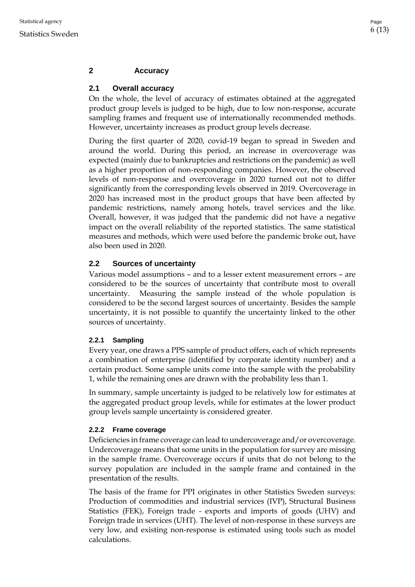## <span id="page-5-0"></span>**2 Accuracy**

## <span id="page-5-1"></span>**2.1 Overall accuracy**

On the whole, the level of accuracy of estimates obtained at the aggregated product group levels is judged to be high, due to low non-response, accurate sampling frames and frequent use of internationally recommended methods. However, uncertainty increases as product group levels decrease.

During the first quarter of 2020, covid-19 began to spread in Sweden and around the world. During this period, an increase in overcoverage was expected (mainly due to bankruptcies and restrictions on the pandemic) as well as a higher proportion of non-responding companies. However, the observed levels of non-response and overcoverage in 2020 turned out not to differ significantly from the corresponding levels observed in 2019. Overcoverage in 2020 has increased most in the product groups that have been affected by pandemic restrictions, namely among hotels, travel services and the like. Overall, however, it was judged that the pandemic did not have a negative impact on the overall reliability of the reported statistics. The same statistical measures and methods, which were used before the pandemic broke out, have also been used in 2020.

## <span id="page-5-2"></span>**2.2 Sources of uncertainty**

Various model assumptions – and to a lesser extent measurement errors – are considered to be the sources of uncertainty that contribute most to overall uncertainty. Measuring the sample instead of the whole population is considered to be the second largest sources of uncertainty. Besides the sample uncertainty, it is not possible to quantify the uncertainty linked to the other sources of uncertainty.

### <span id="page-5-3"></span>**2.2.1 Sampling**

Every year, one draws a PPS sample of product offers, each of which represents a combination of enterprise (identified by corporate identity number) and a certain product. Some sample units come into the sample with the probability 1, while the remaining ones are drawn with the probability less than 1.

In summary, sample uncertainty is judged to be relatively low for estimates at the aggregated product group levels, while for estimates at the lower product group levels sample uncertainty is considered greater.

### <span id="page-5-4"></span>**2.2.2 Frame coverage**

Deficiencies in frame coverage can lead to undercoverage and/or overcoverage. Undercoverage means that some units in the population for survey are missing in the sample frame. Overcoverage occurs if units that do not belong to the survey population are included in the sample frame and contained in the presentation of the results.

The basis of the frame for PPI originates in other Statistics Sweden surveys: Production of commodities and industrial services (IVP), Structural Business Statistics (FEK), Foreign trade - exports and imports of goods (UHV) and Foreign trade in services (UHT). The level of non-response in these surveys are very low, and existing non-response is estimated using tools such as model calculations.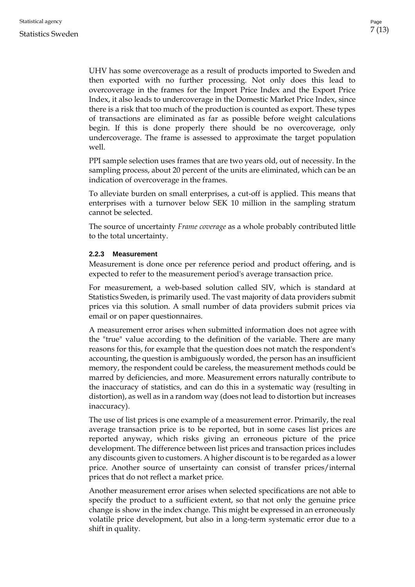UHV has some overcoverage as a result of products imported to Sweden and then exported with no further processing. Not only does this lead to overcoverage in the frames for the Import Price Index and the Export Price Index, it also leads to undercoverage in the Domestic Market Price Index, since there is a risk that too much of the production is counted as export. These types of transactions are eliminated as far as possible before weight calculations begin. If this is done properly there should be no overcoverage, only undercoverage. The frame is assessed to approximate the target population well.

PPI sample selection uses frames that are two years old, out of necessity. In the sampling process, about 20 percent of the units are eliminated, which can be an indication of overcoverage in the frames.

To alleviate burden on small enterprises, a cut-off is applied. This means that enterprises with a turnover below SEK 10 million in the sampling stratum cannot be selected.

The source of uncertainty *Frame coverage* as a whole probably contributed little to the total uncertainty.

#### <span id="page-6-0"></span>**2.2.3 Measurement**

Measurement is done once per reference period and product offering, and is expected to refer to the measurement period's average transaction price.

For measurement, a web-based solution called SIV, which is standard at Statistics Sweden, is primarily used. The vast majority of data providers submit prices via this solution. A small number of data providers submit prices via email or on paper questionnaires.

A measurement error arises when submitted information does not agree with the "true" value according to the definition of the variable. There are many reasons for this, for example that the question does not match the respondent's accounting, the question is ambiguously worded, the person has an insufficient memory, the respondent could be careless, the measurement methods could be marred by deficiencies, and more. Measurement errors naturally contribute to the inaccuracy of statistics, and can do this in a systematic way (resulting in distortion), as well as in a random way (does not lead to distortion but increases inaccuracy).

The use of list prices is one example of a measurement error. Primarily, the real average transaction price is to be reported, but in some cases list prices are reported anyway, which risks giving an erroneous picture of the price development. The difference between list prices and transaction prices includes any discounts given to customers. A higher discount is to be regarded as a lower price. Another source of unsertainty can consist of transfer prices/internal prices that do not reflect a market price.

Another measurement error arises when selected specifications are not able to specify the product to a sufficient extent, so that not only the genuine price change is show in the index change. This might be expressed in an erroneously volatile price development, but also in a long-term systematic error due to a shift in quality.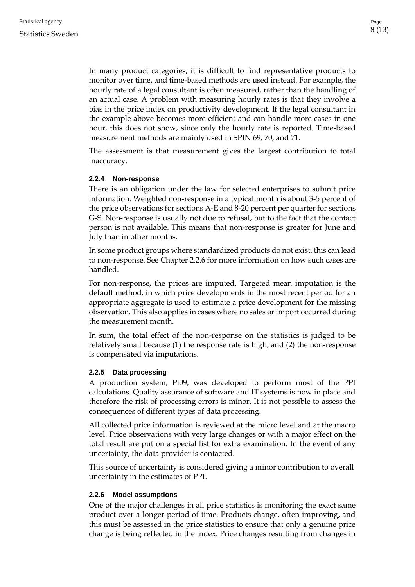In many product categories, it is difficult to find representative products to monitor over time, and time-based methods are used instead. For example, the hourly rate of a legal consultant is often measured, rather than the handling of an actual case. A problem with measuring hourly rates is that they involve a bias in the price index on productivity development. If the legal consultant in the example above becomes more efficient and can handle more cases in one hour, this does not show, since only the hourly rate is reported. Time-based measurement methods are mainly used in SPIN 69, 70, and 71.

The assessment is that measurement gives the largest contribution to total inaccuracy.

#### <span id="page-7-0"></span>**2.2.4 Non-response**

There is an obligation under the law for selected enterprises to submit price information. Weighted non-response in a typical month is about 3-5 percent of the price observations for sections A-E and 8-20 percent per quarter for sections G-S. Non-response is usually not due to refusal, but to the fact that the contact person is not available. This means that non-response is greater for June and July than in other months.

In some product groups where standardized products do not exist, this can lead to non-response. See Chapter 2.2.6 for more information on how such cases are handled.

For non-response, the prices are imputed. Targeted mean imputation is the default method, in which price developments in the most recent period for an appropriate aggregate is used to estimate a price development for the missing observation. This also applies in cases where no sales or import occurred during the measurement month.

In sum, the total effect of the non-response on the statistics is judged to be relatively small because (1) the response rate is high, and (2) the non-response is compensated via imputations.

#### <span id="page-7-1"></span>**2.2.5 Data processing**

A production system, Pi09, was developed to perform most of the PPI calculations. Quality assurance of software and IT systems is now in place and therefore the risk of processing errors is minor. It is not possible to assess the consequences of different types of data processing.

All collected price information is reviewed at the micro level and at the macro level. Price observations with very large changes or with a major effect on the total result are put on a special list for extra examination. In the event of any uncertainty, the data provider is contacted.

This source of uncertainty is considered giving a minor contribution to overall uncertainty in the estimates of PPI.

#### <span id="page-7-2"></span>**2.2.6 Model assumptions**

One of the major challenges in all price statistics is monitoring the exact same product over a longer period of time. Products change, often improving, and this must be assessed in the price statistics to ensure that only a genuine price change is being reflected in the index. Price changes resulting from changes in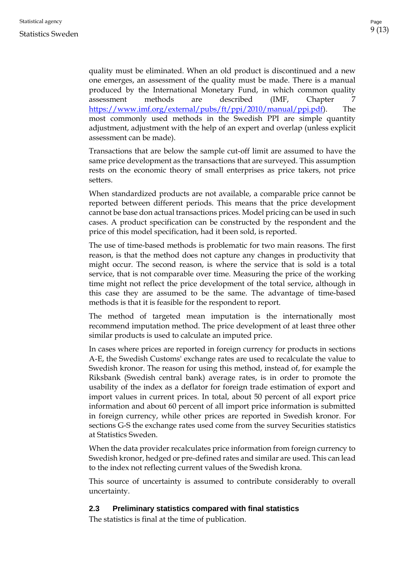quality must be eliminated. When an old product is discontinued and a new one emerges, an assessment of the quality must be made. There is a manual produced by the International Monetary Fund, in which common quality assessment methods are described (IMF, Chapter 7 [https://www.imf.org/external/pubs/ft/ppi/2010/manual/ppi.pdf\)](https://www.imf.org/external/pubs/ft/ppi/2010/manual/ppi.pdf). The most commonly used methods in the Swedish PPI are simple quantity adjustment, adjustment with the help of an expert and overlap (unless explicit assessment can be made).

Transactions that are below the sample cut-off limit are assumed to have the same price development as the transactions that are surveyed. This assumption rests on the economic theory of small enterprises as price takers, not price setters.

When standardized products are not available, a comparable price cannot be reported between different periods. This means that the price development cannot be base don actual transactions prices. Model pricing can be used in such cases. A product specification can be constructed by the respondent and the price of this model specification, had it been sold, is reported.

The use of time-based methods is problematic for two main reasons. The first reason, is that the method does not capture any changes in productivity that might occur. The second reason, is where the service that is sold is a total service, that is not comparable over time. Measuring the price of the working time might not reflect the price development of the total service, although in this case they are assumed to be the same. The advantage of time-based methods is that it is feasible for the respondent to report.

The method of targeted mean imputation is the internationally most recommend imputation method. The price development of at least three other similar products is used to calculate an imputed price.

In cases where prices are reported in foreign currency for products in sections A-E, the Swedish Customs' exchange rates are used to recalculate the value to Swedish kronor. The reason for using this method, instead of, for example the Riksbank (Swedish central bank) average rates, is in order to promote the usability of the index as a deflator for foreign trade estimation of export and import values in current prices. In total, about 50 percent of all export price information and about 60 percent of all import price information is submitted in foreign currency, while other prices are reported in Swedish kronor. For sections G-S the exchange rates used come from the survey Securities statistics at Statistics Sweden.

When the data provider recalculates price information from foreign currency to Swedish kronor, hedged or pre-defined rates and similar are used. This can lead to the index not reflecting current values of the Swedish krona.

This source of uncertainty is assumed to contribute considerably to overall uncertainty.

### <span id="page-8-0"></span>**2.3 Preliminary statistics compared with final statistics**

The statistics is final at the time of publication.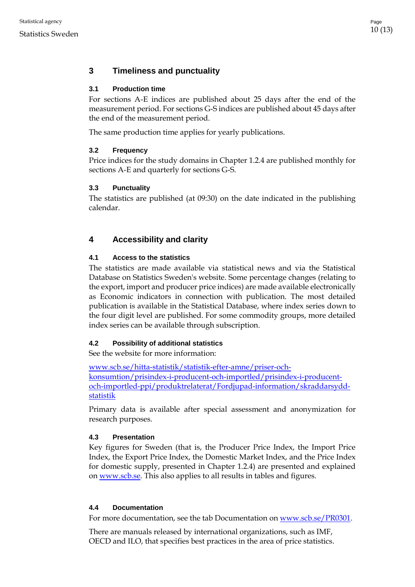# <span id="page-9-0"></span>**3 Timeliness and punctuality**

# <span id="page-9-1"></span>**3.1 Production time**

For sections A-E indices are published about 25 days after the end of the measurement period. For sections G-S indices are published about 45 days after the end of the measurement period.

The same production time applies for yearly publications.

# <span id="page-9-2"></span>**3.2 Frequency**

Price indices for the study domains in Chapter 1.2.4 are published monthly for sections A-E and quarterly for sections G-S.

# <span id="page-9-3"></span>**3.3 Punctuality**

The statistics are published (at 09:30) on the date indicated in the publishing calendar.

# <span id="page-9-4"></span>**4 Accessibility and clarity**

# <span id="page-9-5"></span>**4.1 Access to the statistics**

The statistics are made available via statistical news and via the Statistical Database on Statistics Sweden's website. Some percentage changes (relating to the export, import and producer price indices) are made available electronically as Economic indicators in connection with publication. The most detailed publication is available in the Statistical Database, where index series down to the four digit level are published. For some commodity groups, more detailed index series can be available through subscription.

# <span id="page-9-6"></span>**4.2 Possibility of additional statistics**

See the website for more information:

[www.scb.se/hitta-statistik/statistik-efter-amne/priser-och](http://www.scb.se/hitta-statistik/statistik-efter-amne/priser-och-konsumtion/prisindex-i-producent-och-importled/prisindex-i-producent-och-importled-ppi/produktrelaterat/Fordjupad-information/skraddarsydd-statistik)[konsumtion/prisindex-i-producent-och-importled/prisindex-i-producent](http://www.scb.se/hitta-statistik/statistik-efter-amne/priser-och-konsumtion/prisindex-i-producent-och-importled/prisindex-i-producent-och-importled-ppi/produktrelaterat/Fordjupad-information/skraddarsydd-statistik)[och-importled-ppi/produktrelaterat/Fordjupad-information/skraddarsydd](http://www.scb.se/hitta-statistik/statistik-efter-amne/priser-och-konsumtion/prisindex-i-producent-och-importled/prisindex-i-producent-och-importled-ppi/produktrelaterat/Fordjupad-information/skraddarsydd-statistik)[statistik](http://www.scb.se/hitta-statistik/statistik-efter-amne/priser-och-konsumtion/prisindex-i-producent-och-importled/prisindex-i-producent-och-importled-ppi/produktrelaterat/Fordjupad-information/skraddarsydd-statistik)

Primary data is available after special assessment and anonymization for research purposes.

# <span id="page-9-7"></span>**4.3 Presentation**

Key figures for Sweden (that is, the Producer Price Index, the Import Price Index, the Export Price Index, the Domestic Market Index, and the Price Index for domestic supply, presented in Chapter 1.2.4) are presented and explained on [www.scb.se.](http://www.scb.se/) This also applies to all results in tables and figures.

# <span id="page-9-8"></span>**4.4 Documentation**

For more documentation, see the tab Documentation on [www.scb.se/PR0301.](file://///scb.intra/data/Prod/NA/PR/TPPI%20gem/Dokumentation%20BaS%20och%20Dok/PPI%20KD/Slutliga%20versioner/www.scb.se/PR0301)

There are manuals released by international organizations, such as IMF, OECD and ILO, that specifies best practices in the area of price statistics.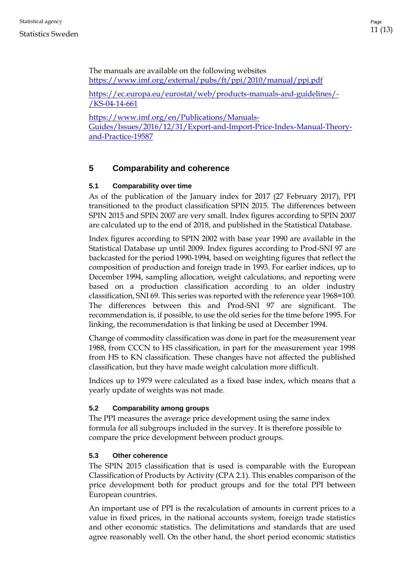The manuals are available on the following websites <https://www.imf.org/external/pubs/ft/ppi/2010/manual/ppi.pdf>

[https://ec.europa.eu/eurostat/web/products-manuals-and-guidelines/-](https://ec.europa.eu/eurostat/web/products-manuals-and-guidelines/-/KS-04-14-661) [/KS-04-14-661](https://ec.europa.eu/eurostat/web/products-manuals-and-guidelines/-/KS-04-14-661)

[https://www.imf.org/en/Publications/Manuals-](https://www.imf.org/en/Publications/Manuals-Guides/Issues/2016/12/31/Export-and-Import-Price-Index-Manual-Theory-and-Practice-19587)[Guides/Issues/2016/12/31/Export-and-Import-Price-Index-Manual-Theory](https://www.imf.org/en/Publications/Manuals-Guides/Issues/2016/12/31/Export-and-Import-Price-Index-Manual-Theory-and-Practice-19587)[and-Practice-19587](https://www.imf.org/en/Publications/Manuals-Guides/Issues/2016/12/31/Export-and-Import-Price-Index-Manual-Theory-and-Practice-19587)

# <span id="page-10-0"></span>**5 Comparability and coherence**

## <span id="page-10-1"></span>**5.1 Comparability over time**

As of the publication of the January index for 2017 (27 February 2017), PPI transitioned to the product classification SPIN 2015. The differences between SPIN 2015 and SPIN 2007 are very small. Index figures according to SPIN 2007 are calculated up to the end of 2018, and published in the Statistical Database.

Index figures according to SPIN 2002 with base year 1990 are available in the Statistical Database up until 2009. Index figures according to Prod-SNI 97 are backcasted for the period 1990-1994, based on weighting figures that reflect the composition of production and foreign trade in 1993. For earlier indices, up to December 1994, sampling allocation, weight calculations, and reporting were based on a production classification according to an older industry classification, SNI 69. This series was reported with the reference year 1968=100. The differences between this and Prod-SNI 97 are significant. The recommendation is, if possible, to use the old series for the time before 1995. For linking, the recommendation is that linking be used at December 1994.

Change of commodity classification was done in part for the measurement year 1988, from CCCN to HS classification, in part for the measurement year 1998 from HS to KN classification. These changes have not affected the published classification, but they have made weight calculation more difficult.

Indices up to 1979 were calculated as a fixed base index, which means that a yearly update of weights was not made.

### <span id="page-10-2"></span>**5.2 Comparability among groups**

The PPI measures the average price development using the same index formula for all subgroups included in the survey. It is therefore possible to compare the price development between product groups.

### <span id="page-10-3"></span>**5.3 Other coherence**

The SPIN 2015 classification that is used is comparable with the European Classification of Products by Activity (CPA 2.1). This enables comparison of the price development both for product groups and for the total PPI between European countries.

An important use of PPI is the recalculation of amounts in current prices to a value in fixed prices, in the national accounts system, foreign trade statistics and other economic statistics. The delimitations and standards that are used agree reasonably well. On the other hand, the short period economic statistics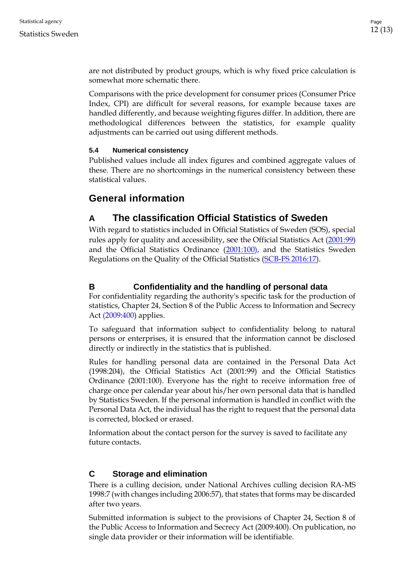are not distributed by product groups, which is why fixed price calculation is somewhat more schematic there.

Comparisons with the price development for consumer prices (Consumer Price Index, CPI) are difficult for several reasons, for example because taxes are handled differently, and because weighting figures differ. In addition, there are methodological differences between the statistics, for example quality adjustments can be carried out using different methods.

#### <span id="page-11-0"></span>**5.4 Numerical consistency**

Published values include all index figures and combined aggregate values of these. There are no shortcomings in the numerical consistency between these statistical values.

# **General information**

# <span id="page-11-1"></span>**A The classification Official Statistics of Sweden**

With regard to statistics included in Official Statistics of Sweden (SOS), special rules apply for quality and accessibility, see the Official Statistics Act [\(2001:99\)](http://www.riksdagen.se/sv/Dokument-Lagar/Lagar/Svenskforfattningssamling/Lag-200199-om-den-officiell_sfs-2001-99/) and the Official Statistics Ordinance [\(2001:100\)](http://www.riksdagen.se/sv/dokument-lagar/dokument/svensk-forfattningssamling/forordning-2001100-om-den-officiella_sfs-2001-100), and the Statistics Sweden Regulations on the Quality of the Official Statistics (SCB-FS 2016:17).

# <span id="page-11-2"></span>**B Confidentiality and the handling of personal data**

For confidentiality regarding the authority's specific task for the production of statistics, Chapter 24, Section 8 of the [Public Access to Information and Secrecy](http://www.riksdagen.se/sv/Dokument-Lagar/Lagar/Svenskforfattningssamling/Offentlighets--och-sekretessla_sfs-2009-400/)  Act [\(2009:400\)](http://www.riksdagen.se/sv/Dokument-Lagar/Lagar/Svenskforfattningssamling/Offentlighets--och-sekretessla_sfs-2009-400/) applies.

To safeguard that information subject to confidentiality belong to natural persons or enterprises, it is ensured that the information cannot be disclosed directly or indirectly in the statistics that is published.

Rules for handling personal data are contained in the Personal Data Act (1998:204), the Official Statistics Act (2001:99) and the Official Statistics Ordinance (2001:100). Everyone has the right to receive information free of charge once per calendar year about his/her own personal data that is handled by Statistics Sweden. If the personal information is handled in conflict with the Personal Data Act, the individual has the right to request that the personal data is corrected, blocked or erased.

Information about the contact person for the survey is saved to facilitate any future contacts.

## <span id="page-11-3"></span>**C Storage and elimination**

There is a culling decision, under National Archives culling decision RA-MS 1998:7 (with changes including 2006:57), that states that forms may be discarded after two years.

Submitted information is subject to the provisions of Chapter 24, Section 8 of the Public Access to Information and Secrecy Act (2009:400). On publication, no single data provider or their information will be identifiable.